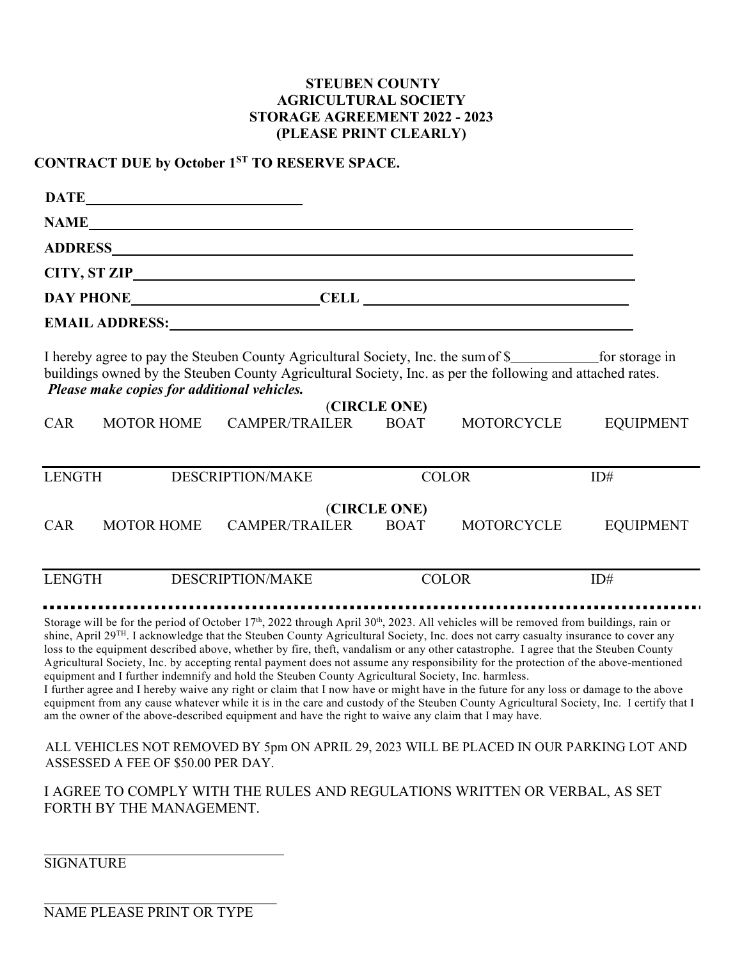#### **STEUBEN COUNTY AGRICULTURAL SOCIETY STORAGE AGREEMENT 2022 - 2023 (PLEASE PRINT CLEARLY)**

**CONTRACT DUE by October 1ST TO RESERVE SPACE.**

| DAY PHONE CELL CELL                                                                                                                                                                                                                                                                                                                                                                                                                                                                                                                                                                                                                                                                                 |                   |                                                                                                                                                                                                                               |                             |                   |                  |  |
|-----------------------------------------------------------------------------------------------------------------------------------------------------------------------------------------------------------------------------------------------------------------------------------------------------------------------------------------------------------------------------------------------------------------------------------------------------------------------------------------------------------------------------------------------------------------------------------------------------------------------------------------------------------------------------------------------------|-------------------|-------------------------------------------------------------------------------------------------------------------------------------------------------------------------------------------------------------------------------|-----------------------------|-------------------|------------------|--|
|                                                                                                                                                                                                                                                                                                                                                                                                                                                                                                                                                                                                                                                                                                     |                   | EMAIL ADDRESS: University of the Second Second Second Second Second Second Second Second Second Second Second Second Second Second Second Second Second Second Second Second Second Second Second Second Second Second Second |                             |                   |                  |  |
| I hereby agree to pay the Steuben County Agricultural Society, Inc. the sum of \$_________________ for storage in<br>buildings owned by the Steuben County Agricultural Society, Inc. as per the following and attached rates.<br>Please make copies for additional vehicles.                                                                                                                                                                                                                                                                                                                                                                                                                       |                   |                                                                                                                                                                                                                               |                             |                   |                  |  |
| <b>CAR</b>                                                                                                                                                                                                                                                                                                                                                                                                                                                                                                                                                                                                                                                                                          | <b>MOTOR HOME</b> | CAMPER/TRAILER                                                                                                                                                                                                                | (CIRCLE ONE)<br><b>BOAT</b> | <b>MOTORCYCLE</b> | <b>EQUIPMENT</b> |  |
|                                                                                                                                                                                                                                                                                                                                                                                                                                                                                                                                                                                                                                                                                                     |                   |                                                                                                                                                                                                                               |                             |                   |                  |  |
| <b>LENGTH</b>                                                                                                                                                                                                                                                                                                                                                                                                                                                                                                                                                                                                                                                                                       |                   | <b>DESCRIPTION/MAKE</b>                                                                                                                                                                                                       |                             | <b>COLOR</b>      | ID#              |  |
| <b>CAR</b>                                                                                                                                                                                                                                                                                                                                                                                                                                                                                                                                                                                                                                                                                          | <b>MOTOR HOME</b> | <b>CAMPER/TRAILER</b>                                                                                                                                                                                                         | (CIRCLE ONE)<br><b>BOAT</b> | <b>MOTORCYCLE</b> | <b>EQUIPMENT</b> |  |
| <b>LENGTH</b>                                                                                                                                                                                                                                                                                                                                                                                                                                                                                                                                                                                                                                                                                       |                   | <b>DESCRIPTION/MAKE</b>                                                                                                                                                                                                       |                             | <b>COLOR</b>      | ID#              |  |
| Storage will be for the period of October 17 <sup>th</sup> , 2022 through April 30 <sup>th</sup> , 2023. All vehicles will be removed from buildings, rain or<br>shine, April 29 <sup>TH</sup> . I acknowledge that the Steuben County Agricultural Society, Inc. does not carry casualty insurance to cover any<br>loss to the equipment described above, whether by fire, theft, vandalism or any other catastrophe. I agree that the Steuben County<br>Agricultural Society, Inc. by accepting rental payment does not assume any responsibility for the protection of the above-mentioned<br>equipment and I further indemnify and hold the Steuben County Agricultural Society, Inc. harmless. |                   |                                                                                                                                                                                                                               |                             |                   |                  |  |

I further agree and I hereby waive any right or claim that I now have or might have in the future for any loss or damage to the above equipment from any cause whatever while it is in the care and custody of the Steuben County Agricultural Society, Inc. I certify that I am the owner of the above-described equipment and have the right to waive any claim that I may have.

ALL VEHICLES NOT REMOVED BY 5pm ON APRIL 29, 2023 WILL BE PLACED IN OUR PARKING LOT AND ASSESSED A FEE OF \$50.00 PER DAY.

I AGREE TO COMPLY WITH THE RULES AND REGULATIONS WRITTEN OR VERBAL, AS SET FORTH BY THE MANAGEMENT.

**SIGNATURE** 

NAME PLEASE PRINT OR TYPE